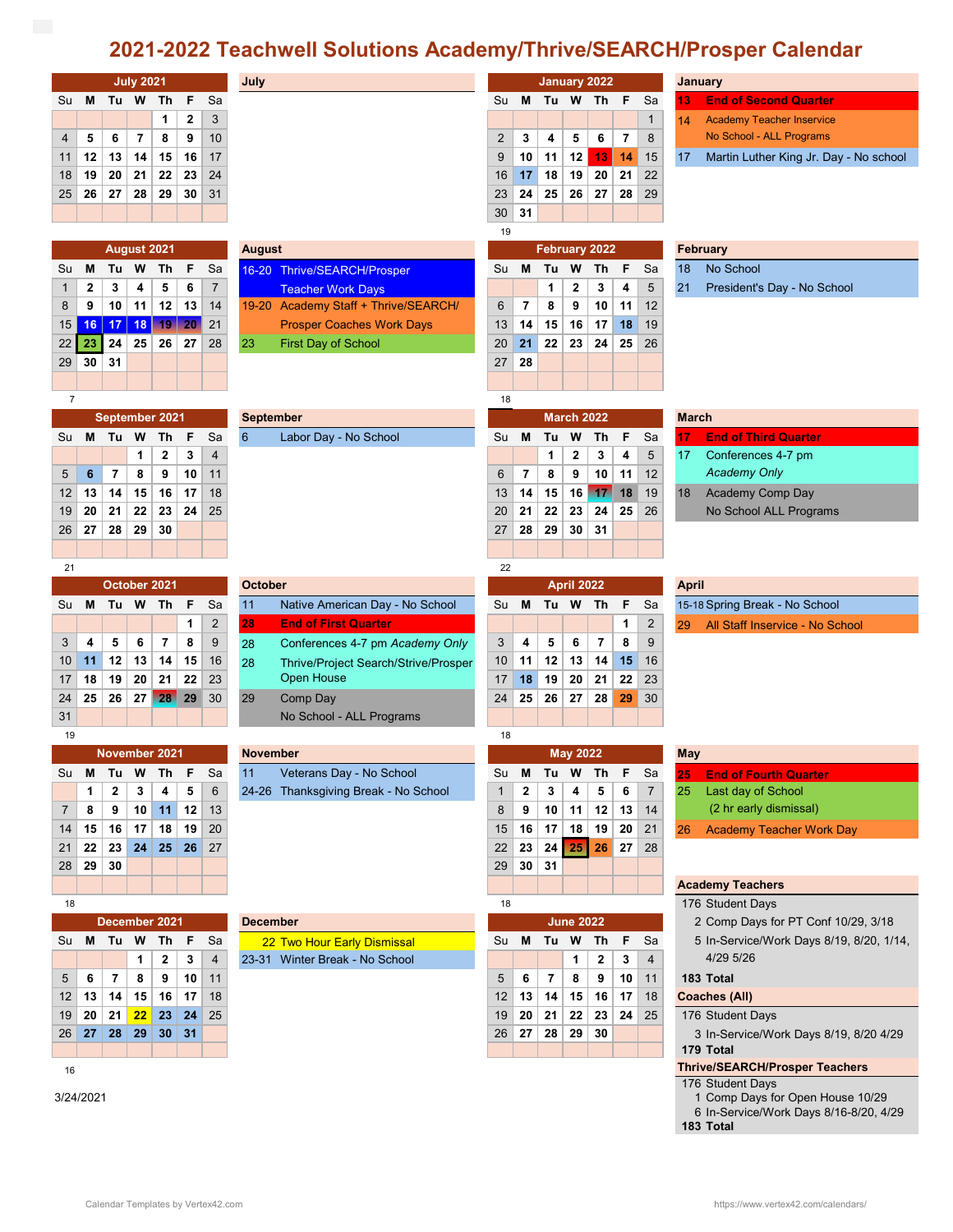## **2021-2022 Teachwell Solutions Academy/Thrive/SEARCH/Prosper Calendar**

|                                             |                                  |          | <b>July 2021</b>        |                       |          |                 | July             |                                                           |                |                         |          |                   | January 2022            |          |                | <b>January</b>  |                                                     |
|---------------------------------------------|----------------------------------|----------|-------------------------|-----------------------|----------|-----------------|------------------|-----------------------------------------------------------|----------------|-------------------------|----------|-------------------|-------------------------|----------|----------------|-----------------|-----------------------------------------------------|
| Su                                          | M                                |          | Tu W                    | - Th                  | F        | Sa              |                  |                                                           | Su             | м                       | Tu W     |                   | Th F                    |          | Sa             | 13              | <b>End of Second Quarter</b>                        |
|                                             |                                  |          |                         | 1                     | 2        | 3               |                  |                                                           |                |                         |          |                   |                         |          | $\mathbf{1}$   | 14              | <b>Academy Teacher Inservice</b>                    |
| 4                                           | 5                                | 6        | $\overline{\mathbf{r}}$ | 8                     | 9        | 10              |                  |                                                           | $\overline{2}$ | 3                       | 4        | 5                 | 6                       | 7        | 8              |                 | No School - ALL Programs                            |
| 11                                          | 12                               | 13       | 14                      | 15                    | 16       | 17              |                  |                                                           | 9              | 10                      | 11       | 12                | 13                      | 14       | 15             | 17              | Martin Luther King Jr. Day - No school              |
| 18                                          | 19                               | 20       | 21                      | 22                    | 23       | 24              |                  |                                                           | 16             | 17                      | 18       | 19                | 20                      | 21       | 22             |                 |                                                     |
| 25                                          | 26                               | 27       | 28                      | 29                    | 30       | 31              |                  |                                                           | 23             | 24                      | 25       | 26                | 27                      | 28       | 29             |                 |                                                     |
|                                             |                                  |          |                         |                       |          |                 |                  |                                                           | 30             | 31                      |          |                   |                         |          |                |                 |                                                     |
| August 2021<br><b>August</b>                |                                  |          |                         |                       |          |                 |                  | 19                                                        |                |                         |          | February 2022     |                         |          |                | <b>February</b> |                                                     |
| Su                                          | M                                | Tu       | W                       | Th                    | F        | Sa              |                  |                                                           | Su             | м                       | Tu       | W                 | Th                      | F        | Sa             | 18              | No School                                           |
| 1                                           | 2                                | 3        | 4                       | 5                     | 6        | $\overline{7}$  |                  | 16-20 Thrive/SEARCH/Prosper<br><b>Teacher Work Days</b>   |                |                         | 1        | 2                 | 3                       | 4        | 5              | 21              | President's Day - No School                         |
| 8                                           | 9                                | 10       | 11                      | 12                    | 13       | 14              |                  | 19-20 Academy Staff + Thrive/SEARCH/                      | 6              | 7                       | 8        | 9                 | 10                      | 11       | 12             |                 |                                                     |
| 15                                          | 16                               | 17       | 18                      | $19-$                 | 20       | 21              |                  | <b>Prosper Coaches Work Days</b>                          | 13             | 14                      | 15       | 16                | 17                      | 18       | 19             |                 |                                                     |
| 22                                          | 23                               | 24       | 25                      | 26                    | 27       | 28              | 23               | <b>First Day of School</b>                                | 20             | 21                      | 22       | 23                | 24                      | 25       | 26             |                 |                                                     |
| 29                                          | 30                               | 31       |                         |                       |          |                 |                  |                                                           | 27             | 28                      |          |                   |                         |          |                |                 |                                                     |
|                                             |                                  |          |                         |                       |          |                 |                  |                                                           |                |                         |          |                   |                         |          |                |                 |                                                     |
| $\overline{7}$                              |                                  |          |                         |                       |          |                 |                  |                                                           | 18             |                         |          |                   |                         |          |                |                 |                                                     |
|                                             |                                  |          |                         | September 2021        |          |                 | <b>September</b> |                                                           |                |                         |          | <b>March 2022</b> |                         |          |                | <b>March</b>    |                                                     |
| Su                                          | M                                | Tu       | W                       | Th                    | F        | Sa              | 6                | Labor Day - No School                                     | Su             | M                       | Tu       | w                 | Th                      | F        | Sa             | 17              | <b>End of Third Quarter</b>                         |
|                                             |                                  |          | 1                       | 2                     | 3        | 4               |                  |                                                           |                |                         | 1        | 2                 | 3                       | 4        | 5              | 17              | Conferences 4-7 pm                                  |
| 5                                           | 6                                | 7        | 8                       | 9                     | 10       | 11              |                  |                                                           | $6\phantom{1}$ | $\overline{\mathbf{r}}$ | 8        | 9                 | 10                      | 11       | 12             |                 | <b>Academy Only</b>                                 |
| 12                                          | 13                               | 14       | 15                      | 16                    | 17       | 18              |                  |                                                           | 13             | 14                      | 15       | 16                | 17                      | 18       | 19             | 18              | Academy Comp Day                                    |
| 19                                          | 20                               | 21       | 22                      | 23                    | 24       | 25              |                  |                                                           | 20             | 21                      | 22       | 23                | 24                      | 25       | 26             |                 | No School ALL Programs                              |
| 26                                          | 27                               | 28       | 29                      | 30                    |          |                 |                  |                                                           | 27             | 28                      | 29       | 30                | 31                      |          |                |                 |                                                     |
|                                             |                                  |          |                         |                       |          |                 |                  |                                                           |                |                         |          |                   |                         |          |                |                 |                                                     |
| 21                                          |                                  |          |                         |                       |          |                 |                  |                                                           | 22             |                         |          |                   |                         |          |                |                 |                                                     |
|                                             |                                  |          | October 2021            |                       |          |                 | <b>October</b>   |                                                           |                |                         |          | <b>April 2022</b> |                         |          |                | <b>April</b>    |                                                     |
| Su                                          | M                                | Tu       | W                       | Th                    | F        | Sa              | 11               | Native American Day - No School                           | Su             | м                       | Tu       | W                 | - Th                    | F        | Sa             |                 | 15-18 Spring Break - No School                      |
|                                             |                                  |          |                         |                       | 1        | $\overline{c}$  | 28               | <b>End of First Quarter</b>                               |                |                         |          |                   |                         | 1        | $\overline{2}$ | 29              | All Staff Inservice - No School                     |
| 3                                           | 4                                | 5        | 6                       | $\overline{7}$        | 8        | 9               | 28               | Conferences 4-7 pm Academy Only                           | 3              | 4                       | 5        | 6                 | $\overline{\mathbf{r}}$ | 8        | 9              |                 |                                                     |
| 10                                          | 11                               | 12       | 13                      | 14                    | 15<br>22 | 16<br>23        | 28               | Thrive/Project Search/Strive/Prosper<br><b>Open House</b> | 10             | 11                      | 12       | 13                | 14                      | 15       | 16             |                 |                                                     |
| 17<br>24                                    | 18<br>25                         | 19<br>26 | 20<br>27                | 21<br>28              | 29       | 30              | 29               | Comp Day                                                  | 17<br>24       | 18<br>25                | 19<br>26 | 20<br>27          | 21<br>28                | 22<br>29 | 23<br>30       |                 |                                                     |
| 31                                          |                                  |          |                         |                       |          |                 |                  | No School - ALL Programs                                  |                |                         |          |                   |                         |          |                |                 |                                                     |
| 19                                          |                                  |          |                         |                       |          |                 |                  |                                                           | 18             |                         |          |                   |                         |          |                |                 |                                                     |
|                                             | November 2021<br><b>November</b> |          |                         |                       |          |                 |                  | <b>May 2022</b>                                           |                |                         |          |                   |                         |          | <b>May</b>     |                 |                                                     |
| Su                                          | M                                | Tu       | w                       | Th                    | F        | Sa              | 11               | Veterans Day - No School                                  | Su             | M                       | Tu W     |                   | Th                      | F        | Sa             | 25              | <b>End of Fourth Quarter</b>                        |
|                                             | 1                                | 2        | 3                       | 4                     | 5        | $6\phantom{1}6$ |                  | 24-26 Thanksgiving Break - No School                      | $\mathbf{1}$   | $\mathbf{2}$            | 3        | 4                 | 5                       | 6        | $\overline{7}$ | 25              | Last day of School                                  |
| 7                                           | 8                                | 9        | 10                      | 11                    | 12       | 13              |                  |                                                           | 8              | 9                       | 10       | 11                | 12                      | 13       | 14             |                 | (2 hr early dismissal)                              |
| 14                                          | 15                               | 16       | 17                      | 18                    | 19       | 20              |                  |                                                           | 15             | 16                      | 17       | 18                | 19                      | 20       | 21             | 26              | <b>Academy Teacher Work Day</b>                     |
| 21                                          | 22                               | 23       | 24                      | 25                    | 26       | 27              |                  |                                                           | 22             | 23                      | 24       | 25                | 26                      | 27       | 28             |                 |                                                     |
| 28                                          | 29                               | 30       |                         |                       |          |                 |                  |                                                           | 29             | 30                      | 31       |                   |                         |          |                |                 |                                                     |
|                                             |                                  |          |                         |                       |          |                 |                  |                                                           |                |                         |          |                   |                         |          |                |                 | <b>Academy Teachers</b>                             |
| 18                                          |                                  |          |                         |                       |          |                 |                  |                                                           | 18             |                         |          |                   |                         |          |                |                 | 176 Student Days                                    |
|                                             |                                  |          |                         | December 2021         |          |                 | <b>December</b>  |                                                           |                |                         |          | <b>June 2022</b>  |                         |          |                |                 | 2 Comp Days for PT Conf 10/29, 3/18                 |
| Su                                          |                                  | M Tu W   |                         | Th                    | F        | Sa              |                  | 22 Two Hour Early Dismissal                               | Su             | M                       | Tu W     |                   | Th                      | F        | Sa             |                 | 5 In-Service/Work Days 8/19, 8/20, 1/14,            |
|                                             |                                  |          | 1                       | 2                     | 3        | 4               |                  | 23-31 Winter Break - No School                            |                |                         |          | 1                 | 2                       | 3        | 4              |                 | 4/29 5/26                                           |
| 5                                           | 6                                | 7        | 8                       | 9                     | 10       | 11              |                  |                                                           | $\sqrt{5}$     | 6                       | 7        | 8                 | 9                       | 10       | 11             |                 | 183 Total                                           |
| 12                                          | 13                               | 14       | 15                      | 16                    | 17       | 18<br>25        |                  |                                                           | 12             | 13                      | 14       | 15                | 16<br>23                | 17<br>24 | 18             |                 | <b>Coaches (All)</b>                                |
| 19                                          | 20<br>27                         | 21<br>28 | 22<br>29                | 23<br>30 <sub>2</sub> | 24<br>31 |                 |                  |                                                           | 19<br>26       | 20<br>27                | 21<br>28 | 22<br>29          | 30                      |          | 25             |                 | 176 Student Days                                    |
| 26                                          |                                  |          |                         |                       |          |                 |                  |                                                           |                |                         |          |                   |                         |          |                |                 | 3 In-Service/Work Days 8/19, 8/20 4/29<br>179 Total |
| <b>Thrive/SEARCH/Prosper Teachers</b><br>16 |                                  |          |                         |                       |          |                 |                  |                                                           |                |                         |          |                   |                         |          |                |                 |                                                     |
| 176 Student Days                            |                                  |          |                         |                       |          |                 |                  |                                                           |                |                         |          |                   |                         |          |                |                 |                                                     |
|                                             | 3/24/2021                        |          |                         |                       |          |                 |                  |                                                           |                |                         |          |                   |                         |          |                | 1               | Comp Days for Open House 10/29                      |
|                                             |                                  |          |                         |                       |          |                 |                  |                                                           |                |                         |          |                   |                         |          |                |                 | 6 In-Service/Work Days 8/16-8/20, 4/29<br>183 Total |
|                                             |                                  |          |                         |                       |          |                 |                  |                                                           |                |                         |          |                   |                         |          |                |                 |                                                     |
|                                             |                                  |          |                         |                       |          |                 |                  |                                                           |                |                         |          |                   |                         |          |                |                 |                                                     |